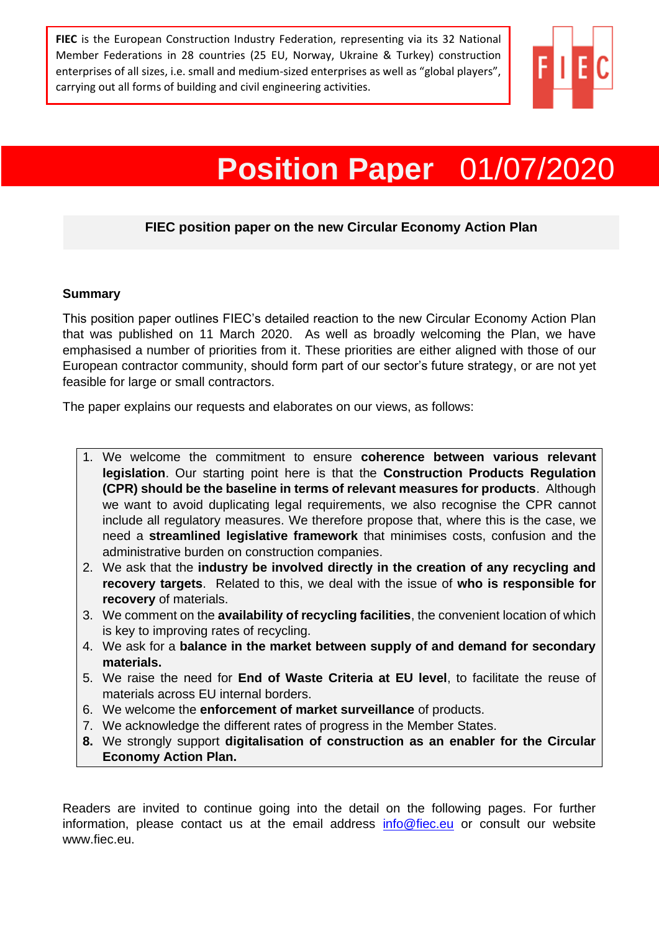**FIEC** is the European Construction Industry Federation, representing via its 32 National Member Federations in 28 countries (25 EU, Norway, Ukraine & Turkey) construction enterprises of all sizes, i.e. small and medium-sized enterprises as well as "global players", carrying out all forms of building and civil engineering activities.



# **Position Paper** 01/07/2020

# **FIEC position paper on the new Circular Economy Action Plan**

#### **Summary**

This position paper outlines FIEC's detailed reaction to the new Circular Economy Action Plan that was published on 11 March 2020. As well as broadly welcoming the Plan, we have emphasised a number of priorities from it. These priorities are either aligned with those of our European contractor community, should form part of our sector's future strategy, or are not yet feasible for large or small contractors.

The paper explains our requests and elaborates on our views, as follows:

- 1. We welcome the commitment to ensure **coherence between various relevant legislation**. Our starting point here is that the **Construction Products Regulation (CPR) should be the baseline in terms of relevant measures for products**. Although we want to avoid duplicating legal requirements, we also recognise the CPR cannot include all regulatory measures. We therefore propose that, where this is the case, we need a **streamlined legislative framework** that minimises costs, confusion and the administrative burden on construction companies.
- 2. We ask that the **industry be involved directly in the creation of any recycling and recovery targets**. Related to this, we deal with the issue of **who is responsible for recovery** of materials.
- 3. We comment on the **availability of recycling facilities**, the convenient location of which is key to improving rates of recycling.
- 4. We ask for a **balance in the market between supply of and demand for secondary materials.**
- 5. We raise the need for **End of Waste Criteria at EU level**, to facilitate the reuse of materials across EU internal borders.
- 6. We welcome the **enforcement of market surveillance** of products.
- 7. We acknowledge the different rates of progress in the Member States.
- **8.** We strongly support **digitalisation of construction as an enabler for the Circular Economy Action Plan.**

Readers are invited to continue going into the detail on the following pages. For further information, please contact us at the email address [info@fiec.eu](mailto:info@fiec.eu) or consult our website www.fiec.eu.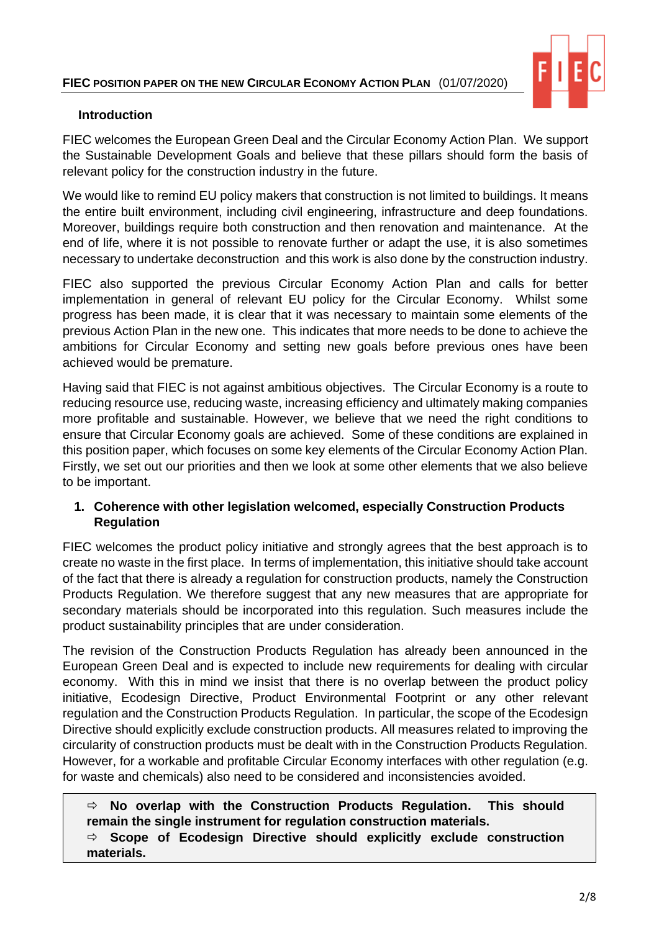

### **Introduction**

FIEC welcomes the European Green Deal and the Circular Economy Action Plan. We support the Sustainable Development Goals and believe that these pillars should form the basis of relevant policy for the construction industry in the future.

We would like to remind EU policy makers that construction is not limited to buildings. It means the entire built environment, including civil engineering, infrastructure and deep foundations. Moreover, buildings require both construction and then renovation and maintenance. At the end of life, where it is not possible to renovate further or adapt the use, it is also sometimes necessary to undertake deconstruction and this work is also done by the construction industry.

FIEC also supported the previous Circular Economy Action Plan and calls for better implementation in general of relevant EU policy for the Circular Economy. Whilst some progress has been made, it is clear that it was necessary to maintain some elements of the previous Action Plan in the new one. This indicates that more needs to be done to achieve the ambitions for Circular Economy and setting new goals before previous ones have been achieved would be premature.

Having said that FIEC is not against ambitious objectives. The Circular Economy is a route to reducing resource use, reducing waste, increasing efficiency and ultimately making companies more profitable and sustainable. However, we believe that we need the right conditions to ensure that Circular Economy goals are achieved. Some of these conditions are explained in this position paper, which focuses on some key elements of the Circular Economy Action Plan. Firstly, we set out our priorities and then we look at some other elements that we also believe to be important.

## **1. Coherence with other legislation welcomed, especially Construction Products Regulation**

FIEC welcomes the product policy initiative and strongly agrees that the best approach is to create no waste in the first place. In terms of implementation, this initiative should take account of the fact that there is already a regulation for construction products, namely the Construction Products Regulation. We therefore suggest that any new measures that are appropriate for secondary materials should be incorporated into this regulation. Such measures include the product sustainability principles that are under consideration.

The revision of the Construction Products Regulation has already been announced in the European Green Deal and is expected to include new requirements for dealing with circular economy. With this in mind we insist that there is no overlap between the product policy initiative, Ecodesign Directive, Product Environmental Footprint or any other relevant regulation and the Construction Products Regulation. In particular, the scope of the Ecodesign Directive should explicitly exclude construction products. All measures related to improving the circularity of construction products must be dealt with in the Construction Products Regulation. However, for a workable and profitable Circular Economy interfaces with other regulation (e.g. for waste and chemicals) also need to be considered and inconsistencies avoided.

# **No overlap with the Construction Products Regulation. This should remain the single instrument for regulation construction materials.**

 **Scope of Ecodesign Directive should explicitly exclude construction materials.**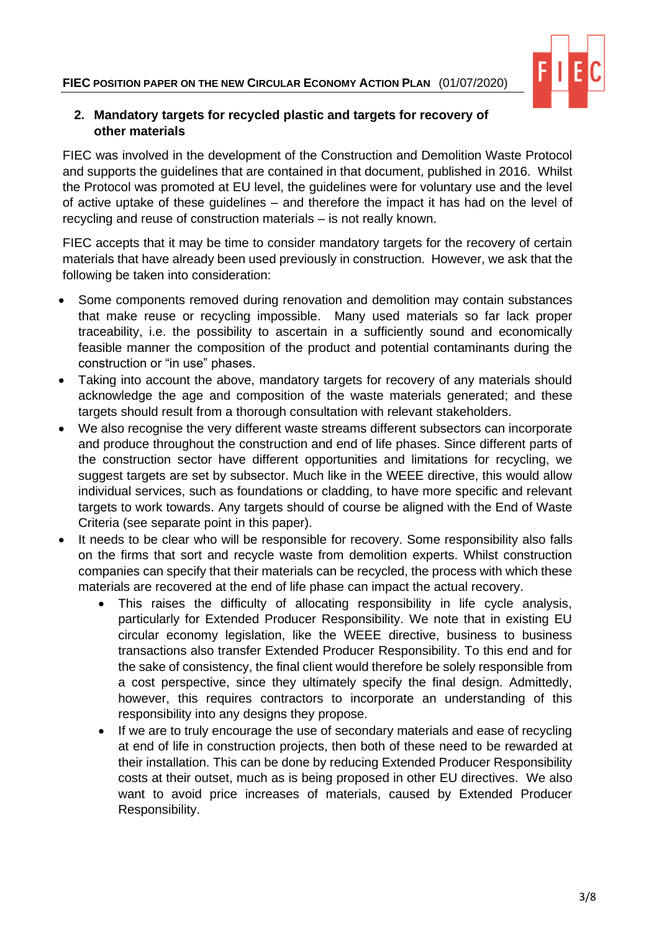

#### **2. Mandatory targets for recycled plastic and targets for recovery of other materials**

FIEC was involved in the development of the Construction and Demolition Waste Protocol and supports the guidelines that are contained in that document, published in 2016. Whilst the Protocol was promoted at EU level, the guidelines were for voluntary use and the level of active uptake of these guidelines – and therefore the impact it has had on the level of recycling and reuse of construction materials – is not really known.

FIEC accepts that it may be time to consider mandatory targets for the recovery of certain materials that have already been used previously in construction. However, we ask that the following be taken into consideration:

- Some components removed during renovation and demolition may contain substances that make reuse or recycling impossible. Many used materials so far lack proper traceability, i.e. the possibility to ascertain in a sufficiently sound and economically feasible manner the composition of the product and potential contaminants during the construction or "in use" phases.
- Taking into account the above, mandatory targets for recovery of any materials should acknowledge the age and composition of the waste materials generated; and these targets should result from a thorough consultation with relevant stakeholders.
- We also recognise the very different waste streams different subsectors can incorporate and produce throughout the construction and end of life phases. Since different parts of the construction sector have different opportunities and limitations for recycling, we suggest targets are set by subsector. Much like in the WEEE directive, this would allow individual services, such as foundations or cladding, to have more specific and relevant targets to work towards. Any targets should of course be aligned with the End of Waste Criteria (see separate point in this paper).
- It needs to be clear who will be responsible for recovery. Some responsibility also falls on the firms that sort and recycle waste from demolition experts. Whilst construction companies can specify that their materials can be recycled, the process with which these materials are recovered at the end of life phase can impact the actual recovery.
	- This raises the difficulty of allocating responsibility in life cycle analysis, particularly for Extended Producer Responsibility. We note that in existing EU circular economy legislation, like the WEEE directive, business to business transactions also transfer Extended Producer Responsibility. To this end and for the sake of consistency, the final client would therefore be solely responsible from a cost perspective, since they ultimately specify the final design. Admittedly, however, this requires contractors to incorporate an understanding of this responsibility into any designs they propose.
	- If we are to truly encourage the use of secondary materials and ease of recycling at end of life in construction projects, then both of these need to be rewarded at their installation. This can be done by reducing Extended Producer Responsibility costs at their outset, much as is being proposed in other EU directives. We also want to avoid price increases of materials, caused by Extended Producer Responsibility.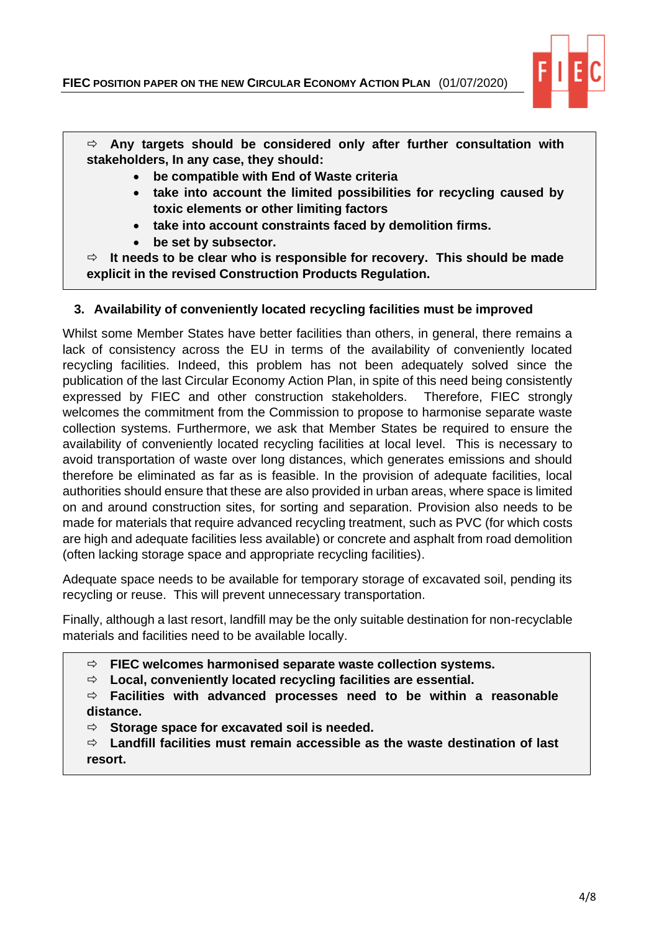

 **Any targets should be considered only after further consultation with stakeholders, In any case, they should:**

- **be compatible with End of Waste criteria**
- **take into account the limited possibilities for recycling caused by toxic elements or other limiting factors**
- **take into account constraints faced by demolition firms.**
- **be set by subsector.**

 **It needs to be clear who is responsible for recovery. This should be made explicit in the revised Construction Products Regulation.** 

## **3. Availability of conveniently located recycling facilities must be improved**

Whilst some Member States have better facilities than others, in general, there remains a lack of consistency across the EU in terms of the availability of conveniently located recycling facilities. Indeed, this problem has not been adequately solved since the publication of the last Circular Economy Action Plan, in spite of this need being consistently expressed by FIEC and other construction stakeholders. Therefore, FIEC strongly welcomes the commitment from the Commission to propose to harmonise separate waste collection systems. Furthermore, we ask that Member States be required to ensure the availability of conveniently located recycling facilities at local level. This is necessary to avoid transportation of waste over long distances, which generates emissions and should therefore be eliminated as far as is feasible. In the provision of adequate facilities, local authorities should ensure that these are also provided in urban areas, where space is limited on and around construction sites, for sorting and separation. Provision also needs to be made for materials that require advanced recycling treatment, such as PVC (for which costs are high and adequate facilities less available) or concrete and asphalt from road demolition (often lacking storage space and appropriate recycling facilities).

Adequate space needs to be available for temporary storage of excavated soil, pending its recycling or reuse. This will prevent unnecessary transportation.

Finally, although a last resort, landfill may be the only suitable destination for non-recyclable materials and facilities need to be available locally.

**FIEC welcomes harmonised separate waste collection systems.**

**Local, conveniently located recycling facilities are essential.**

 **Facilities with advanced processes need to be within a reasonable distance.**

**Storage space for excavated soil is needed.**

 **Landfill facilities must remain accessible as the waste destination of last resort.**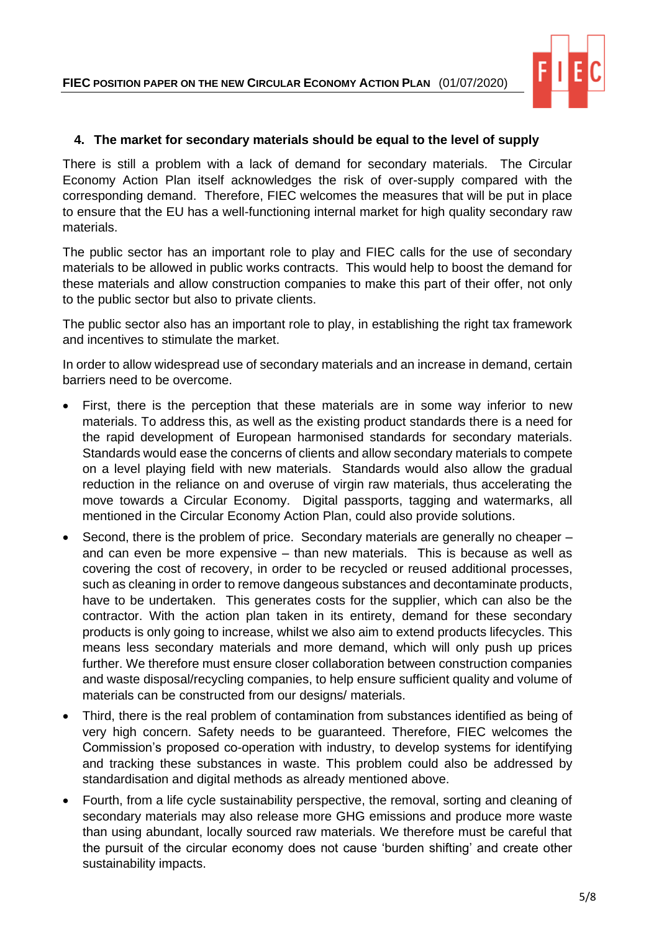

#### **4. The market for secondary materials should be equal to the level of supply**

There is still a problem with a lack of demand for secondary materials. The Circular Economy Action Plan itself acknowledges the risk of over-supply compared with the corresponding demand. Therefore, FIEC welcomes the measures that will be put in place to ensure that the EU has a well-functioning internal market for high quality secondary raw materials.

The public sector has an important role to play and FIEC calls for the use of secondary materials to be allowed in public works contracts. This would help to boost the demand for these materials and allow construction companies to make this part of their offer, not only to the public sector but also to private clients.

The public sector also has an important role to play, in establishing the right tax framework and incentives to stimulate the market.

In order to allow widespread use of secondary materials and an increase in demand, certain barriers need to be overcome.

- First, there is the perception that these materials are in some way inferior to new materials. To address this, as well as the existing product standards there is a need for the rapid development of European harmonised standards for secondary materials. Standards would ease the concerns of clients and allow secondary materials to compete on a level playing field with new materials. Standards would also allow the gradual reduction in the reliance on and overuse of virgin raw materials, thus accelerating the move towards a Circular Economy. Digital passports, tagging and watermarks, all mentioned in the Circular Economy Action Plan, could also provide solutions.
- Second, there is the problem of price. Secondary materials are generally no cheaper and can even be more expensive – than new materials. This is because as well as covering the cost of recovery, in order to be recycled or reused additional processes, such as cleaning in order to remove dangeous substances and decontaminate products, have to be undertaken. This generates costs for the supplier, which can also be the contractor. With the action plan taken in its entirety, demand for these secondary products is only going to increase, whilst we also aim to extend products lifecycles. This means less secondary materials and more demand, which will only push up prices further. We therefore must ensure closer collaboration between construction companies and waste disposal/recycling companies, to help ensure sufficient quality and volume of materials can be constructed from our designs/ materials.
- Third, there is the real problem of contamination from substances identified as being of very high concern. Safety needs to be guaranteed. Therefore, FIEC welcomes the Commission's proposed co-operation with industry, to develop systems for identifying and tracking these substances in waste. This problem could also be addressed by standardisation and digital methods as already mentioned above.
- Fourth, from a life cycle sustainability perspective, the removal, sorting and cleaning of secondary materials may also release more GHG emissions and produce more waste than using abundant, locally sourced raw materials. We therefore must be careful that the pursuit of the circular economy does not cause 'burden shifting' and create other sustainability impacts.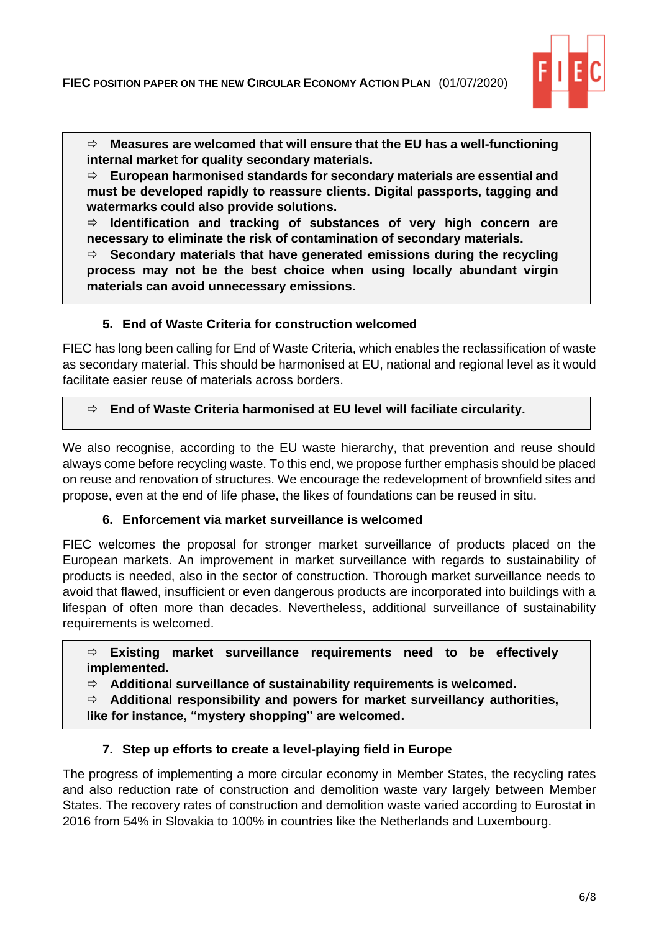

 **Measures are welcomed that will ensure that the EU has a well-functioning internal market for quality secondary materials.**

 **European harmonised standards for secondary materials are essential and must be developed rapidly to reassure clients. Digital passports, tagging and watermarks could also provide solutions.** 

 **Identification and tracking of substances of very high concern are necessary to eliminate the risk of contamination of secondary materials.**

 **Secondary materials that have generated emissions during the recycling process may not be the best choice when using locally abundant virgin materials can avoid unnecessary emissions.**

#### **5. End of Waste Criteria for construction welcomed**

o **???**

Ξ

FIEC has long been calling for End of Waste Criteria, which enables the reclassification of waste as secondary material. This should be harmonised at EU, national and regional level as it would facilitate easier reuse of materials across borders.

#### **☆ End of Waste Criteria harmonised at EU level will faciliate circularity.**

We also recognise, according to the EU waste hierarchy, that prevention and reuse should always come before recycling waste. To this end, we propose further emphasis should be placed on reuse and renovation of structures. We encourage the redevelopment of brownfield sites and propose, even at the end of life phase, the likes of foundations can be reused in situ.

#### **6. Enforcement via market surveillance is welcomed**

FIEC welcomes the proposal for stronger market surveillance of products placed on the European markets. An improvement in market surveillance with regards to sustainability of products is needed, also in the sector of construction. Thorough market surveillance needs to avoid that flawed, insufficient or even dangerous products are incorporated into buildings with a lifespan of often more than decades. Nevertheless, additional surveillance of sustainability requirements is welcomed.

 **Existing market surveillance requirements need to be effectively implemented.**

**Additional surveillance of sustainability requirements is welcomed.**

**Additional responsibility and powers for market surveillancy authorities,** 

**like for instance, "mystery shopping" are welcomed.**

#### **7. Step up efforts to create a level-playing field in Europe**

The progress of implementing a more circular economy in Member States, the recycling rates and also reduction rate of construction and demolition waste vary largely between Member States. The recovery rates of construction and demolition waste varied according to Eurostat in 2016 from 54% in Slovakia to 100% in countries like the Netherlands and Luxembourg.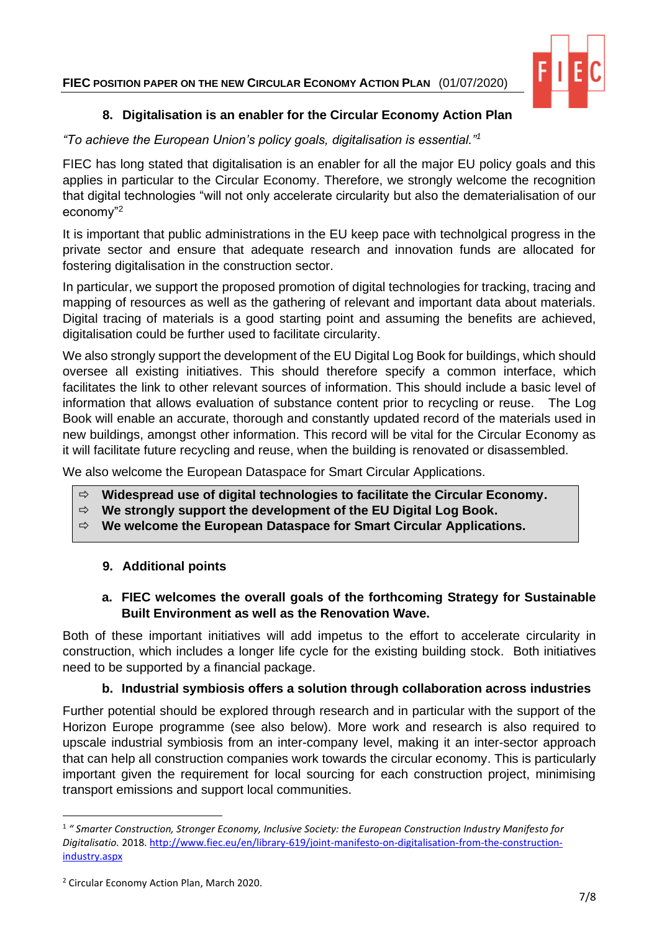# **FIEC POSITION PAPER ON THE NEW CIRCULAR ECONOMY ACTION PLAN** (01/07/2020)



# **8. Digitalisation is an enabler for the Circular Economy Action Plan**

### *"To achieve the European Union's policy goals, digitalisation is essential."<sup>1</sup>*

FIEC has long stated that digitalisation is an enabler for all the major EU policy goals and this applies in particular to the Circular Economy. Therefore, we strongly welcome the recognition that digital technologies "will not only accelerate circularity but also the dematerialisation of our economy"<sup>2</sup>

It is important that public administrations in the EU keep pace with technolgical progress in the private sector and ensure that adequate research and innovation funds are allocated for fostering digitalisation in the construction sector.

In particular, we support the proposed promotion of digital technologies for tracking, tracing and mapping of resources as well as the gathering of relevant and important data about materials. Digital tracing of materials is a good starting point and assuming the benefits are achieved, digitalisation could be further used to facilitate circularity.

We also strongly support the development of the EU Digital Log Book for buildings, which should oversee all existing initiatives. This should therefore specify a common interface, which facilitates the link to other relevant sources of information. This should include a basic level of information that allows evaluation of substance content prior to recycling or reuse. The Log Book will enable an accurate, thorough and constantly updated record of the materials used in new buildings, amongst other information. This record will be vital for the Circular Economy as it will facilitate future recycling and reuse, when the building is renovated or disassembled.

We also welcome the European Dataspace for Smart Circular Applications.

- **Widespread use of digital technologies to facilitate the Circular Economy.**
- **We strongly support the development of the EU Digital Log Book.**
- **We welcome the European Dataspace for Smart Circular Applications.**

# **9. Additional points**

## **a. FIEC welcomes the overall goals of the forthcoming Strategy for Sustainable Built Environment as well as the Renovation Wave.**

Both of these important initiatives will add impetus to the effort to accelerate circularity in construction, which includes a longer life cycle for the existing building stock. Both initiatives need to be supported by a financial package.

# **b. Industrial symbiosis offers a solution through collaboration across industries**

Further potential should be explored through research and in particular with the support of the Horizon Europe programme (see also below). More work and research is also required to upscale industrial symbiosis from an inter-company level, making it an inter-sector approach that can help all construction companies work towards the circular economy. This is particularly important given the requirement for local sourcing for each construction project, minimising transport emissions and support local communities.

<sup>1</sup> *" Smarter Construction, Stronger Economy, Inclusive Society: the European Construction Industry Manifesto for Digitalisatio.* 2018. [http://www.fiec.eu/en/library-619/joint-manifesto-on-digitalisation-from-the-construction](http://www.fiec.eu/en/library-619/joint-manifesto-on-digitalisation-from-the-construction-industry.aspx)[industry.aspx](http://www.fiec.eu/en/library-619/joint-manifesto-on-digitalisation-from-the-construction-industry.aspx)

<sup>2</sup> Circular Economy Action Plan, March 2020.